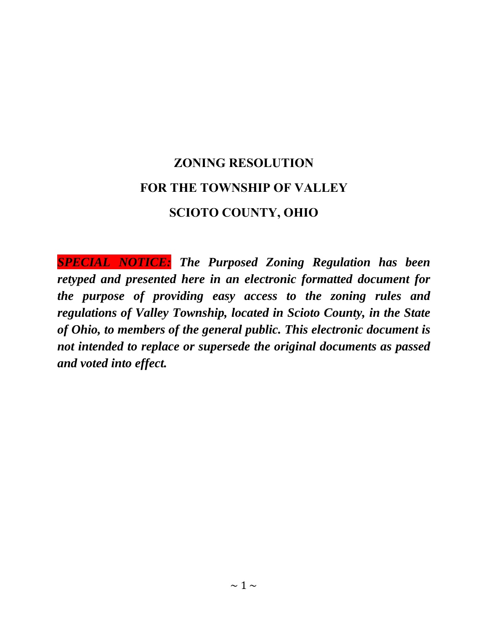# **ZONING RESOLUTION FOR THE TOWNSHIP OF VALLEY SCIOTO COUNTY, OHIO**

*SPECIAL NOTICE: The Purposed Zoning Regulation has been retyped and presented here in an electronic formatted document for the purpose of providing easy access to the zoning rules and regulations of Valley Township, located in Scioto County, in the State of Ohio, to members of the general public. This electronic document is not intended to replace or supersede the original documents as passed and voted into effect.*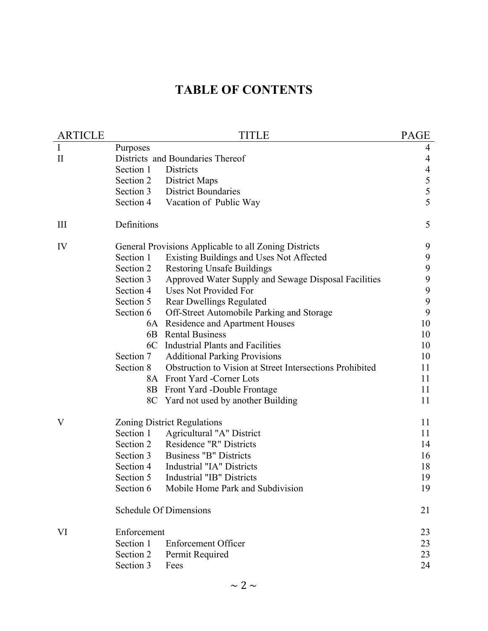# **TABLE OF CONTENTS**

| <b>ARTICLE</b> |                                  | TITLE                                                    | <b>PAGE</b>                                |  |  |  |
|----------------|----------------------------------|----------------------------------------------------------|--------------------------------------------|--|--|--|
| I              | Purposes                         |                                                          |                                            |  |  |  |
| $\rm II$       | Districts and Boundaries Thereof |                                                          |                                            |  |  |  |
|                | Section 1                        | Districts                                                | $\overline{4}$                             |  |  |  |
|                | Section 2                        | <b>District Maps</b>                                     |                                            |  |  |  |
|                | Section 3                        | <b>District Boundaries</b>                               | $\begin{array}{c} 5 \\ 5 \\ 5 \end{array}$ |  |  |  |
|                | Section 4                        | Vacation of Public Way                                   |                                            |  |  |  |
| Ш              | Definitions                      |                                                          | 5                                          |  |  |  |
| IV             |                                  | General Provisions Applicable to all Zoning Districts    | 9                                          |  |  |  |
|                | Section 1                        | Existing Buildings and Uses Not Affected                 | 9                                          |  |  |  |
|                | Section 2                        | <b>Restoring Unsafe Buildings</b>                        | 9                                          |  |  |  |
|                | Section 3                        | Approved Water Supply and Sewage Disposal Facilities     | 9                                          |  |  |  |
|                | Section 4                        | Uses Not Provided For                                    | 9                                          |  |  |  |
|                | Section 5                        | <b>Rear Dwellings Regulated</b>                          | 9                                          |  |  |  |
|                | Section 6                        | Off-Street Automobile Parking and Storage                | 9                                          |  |  |  |
|                |                                  | 6A Residence and Apartment Houses                        | 10                                         |  |  |  |
|                | 6B                               | <b>Rental Business</b>                                   | 10                                         |  |  |  |
|                |                                  | 6C Industrial Plants and Facilities                      | 10                                         |  |  |  |
|                | Section 7                        | <b>Additional Parking Provisions</b>                     | 10                                         |  |  |  |
|                | Section 8                        | Obstruction to Vision at Street Intersections Prohibited | 11                                         |  |  |  |
|                |                                  | 8A Front Yard -Corner Lots                               | 11                                         |  |  |  |
|                |                                  | 8B Front Yard -Double Frontage                           | 11                                         |  |  |  |
|                |                                  | 8C Yard not used by another Building                     | 11                                         |  |  |  |
| V              |                                  | <b>Zoning District Regulations</b>                       | 11                                         |  |  |  |
|                | Section 1                        | Agricultural "A" District                                | 11                                         |  |  |  |
|                | Section 2                        | Residence "R" Districts                                  | 14                                         |  |  |  |
|                | Section 3                        | <b>Business "B" Districts</b>                            | 16                                         |  |  |  |
|                | Section 4                        | Industrial "IA" Districts                                | 18                                         |  |  |  |
|                | Section 5                        | <b>Industrial "IB" Districts</b>                         | 19                                         |  |  |  |
|                | Section 6                        | Mobile Home Park and Subdivision                         | 19                                         |  |  |  |
|                |                                  | <b>Schedule Of Dimensions</b>                            | 21                                         |  |  |  |
| VI             | Enforcement                      |                                                          | 23                                         |  |  |  |
|                | Section 1                        | <b>Enforcement Officer</b>                               | 23                                         |  |  |  |
|                | Section 2                        | Permit Required                                          | 23                                         |  |  |  |
|                | Section 3                        | Fees                                                     | 24                                         |  |  |  |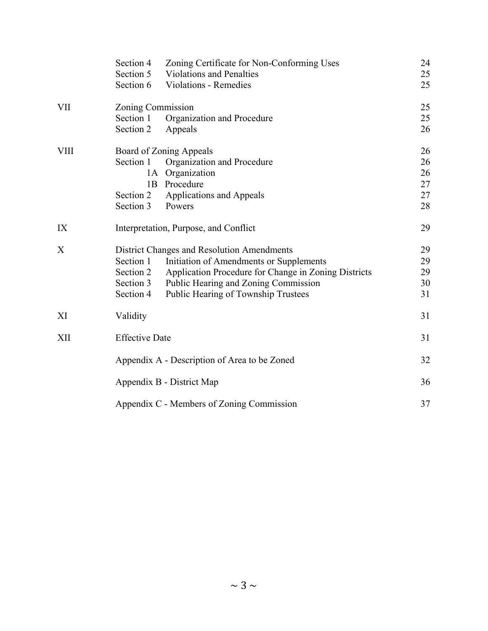|            | Section 4<br>Zoning Certificate for Non-Conforming Uses<br>Section 5<br><b>Violations and Penalties</b><br>Section 6<br><b>Violations - Remedies</b>                                                                                                                             | 24<br>25<br>25             |  |  |  |
|------------|----------------------------------------------------------------------------------------------------------------------------------------------------------------------------------------------------------------------------------------------------------------------------------|----------------------------|--|--|--|
| <b>VII</b> | Zoning Commission<br>Section 1<br>Organization and Procedure                                                                                                                                                                                                                     | 25<br>25                   |  |  |  |
|            | Section 2<br>Appeals                                                                                                                                                                                                                                                             | 26                         |  |  |  |
| VIII       | <b>Board of Zoning Appeals</b><br>Section 1<br>Organization and Procedure<br>1A Organization<br>1B Procedure                                                                                                                                                                     | 26<br>26<br>26<br>27       |  |  |  |
|            | Applications and Appeals<br>Section 2<br>Section 3<br>Powers                                                                                                                                                                                                                     | 27<br>28                   |  |  |  |
| IX         | Interpretation, Purpose, and Conflict                                                                                                                                                                                                                                            | 29                         |  |  |  |
| X          | District Changes and Resolution Amendments<br>Section 1<br>Initiation of Amendments or Supplements<br>Application Procedure for Change in Zoning Districts<br>Section 2<br>Section 3<br>Public Hearing and Zoning Commission<br>Section 4<br>Public Hearing of Township Trustees | 29<br>29<br>29<br>30<br>31 |  |  |  |
| XI         | Validity                                                                                                                                                                                                                                                                         | 31                         |  |  |  |
| XII        | <b>Effective Date</b>                                                                                                                                                                                                                                                            | 31                         |  |  |  |
|            | Appendix A - Description of Area to be Zoned                                                                                                                                                                                                                                     | 32                         |  |  |  |
|            | Appendix B - District Map                                                                                                                                                                                                                                                        | 36                         |  |  |  |
|            | Appendix C - Members of Zoning Commission                                                                                                                                                                                                                                        |                            |  |  |  |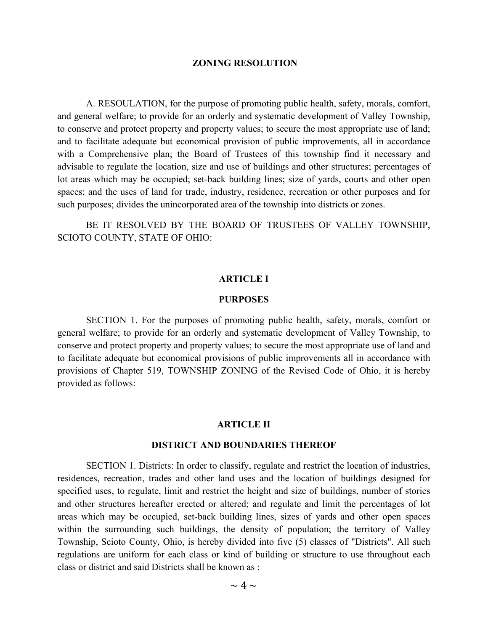#### **ZONING RESOLUTION**

A. RESOULATION, for the purpose of promoting public health, safety, morals, comfort, and general welfare; to provide for an orderly and systematic development of Valley Township, to conserve and protect property and property values; to secure the most appropriate use of land; and to facilitate adequate but economical provision of public improvements, all in accordance with a Comprehensive plan; the Board of Trustees of this township find it necessary and advisable to regulate the location, size and use of buildings and other structures; percentages of lot areas which may be occupied; set-back building lines; size of yards, courts and other open spaces; and the uses of land for trade, industry, residence, recreation or other purposes and for such purposes; divides the unincorporated area of the township into districts or zones.

 BE IT RESOLVED BY THE BOARD OF TRUSTEES OF VALLEY TOWNSHIP, SCIOTO COUNTY, STATE OF OHIO:

## **ARTICLE I**

#### **PURPOSES**

 SECTION 1. For the purposes of promoting public health, safety, morals, comfort or general welfare; to provide for an orderly and systematic development of Valley Township, to conserve and protect property and property values; to secure the most appropriate use of land and to facilitate adequate but economical provisions of public improvements all in accordance with provisions of Chapter 519, TOWNSHIP ZONING of the Revised Code of Ohio, it is hereby provided as follows:

#### **ARTICLE II**

#### **DISTRICT AND BOUNDARIES THEREOF**

SECTION 1. Districts: In order to classify, regulate and restrict the location of industries, residences, recreation, trades and other land uses and the location of buildings designed for specified uses, to regulate, limit and restrict the height and size of buildings, number of stories and other structures hereafter erected or altered; and regulate and limit the percentages of lot areas which may be occupied, set-back building lines, sizes of yards and other open spaces within the surrounding such buildings, the density of population; the territory of Valley Township, Scioto County, Ohio, is hereby divided into five (5) classes of "Districts". All such regulations are uniform for each class or kind of building or structure to use throughout each class or district and said Districts shall be known as :

 $\sim 4 \sim$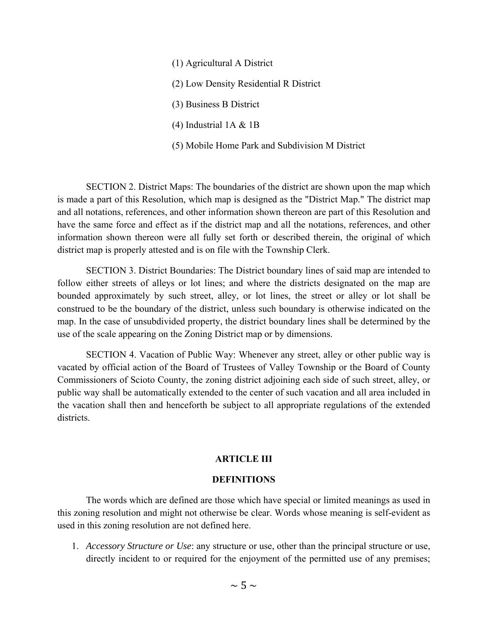(1) Agricultural A District (2) Low Density Residential R District (3) Business B District (4) Industrial 1A & 1B (5) Mobile Home Park and Subdivision M District

 SECTION 2. District Maps: The boundaries of the district are shown upon the map which is made a part of this Resolution, which map is designed as the "District Map." The district map and all notations, references, and other information shown thereon are part of this Resolution and have the same force and effect as if the district map and all the notations, references, and other information shown thereon were all fully set forth or described therein, the original of which district map is properly attested and is on file with the Township Clerk.

 SECTION 3. District Boundaries: The District boundary lines of said map are intended to follow either streets of alleys or lot lines; and where the districts designated on the map are bounded approximately by such street, alley, or lot lines, the street or alley or lot shall be construed to be the boundary of the district, unless such boundary is otherwise indicated on the map. In the case of unsubdivided property, the district boundary lines shall be determined by the use of the scale appearing on the Zoning District map or by dimensions.

 SECTION 4. Vacation of Public Way: Whenever any street, alley or other public way is vacated by official action of the Board of Trustees of Valley Township or the Board of County Commissioners of Scioto County, the zoning district adjoining each side of such street, alley, or public way shall be automatically extended to the center of such vacation and all area included in the vacation shall then and henceforth be subject to all appropriate regulations of the extended districts.

## **ARTICLE III**

## **DEFINITIONS**

The words which are defined are those which have special or limited meanings as used in this zoning resolution and might not otherwise be clear. Words whose meaning is self-evident as used in this zoning resolution are not defined here.

1. *Accessory Structure or Use*: any structure or use, other than the principal structure or use, directly incident to or required for the enjoyment of the permitted use of any premises;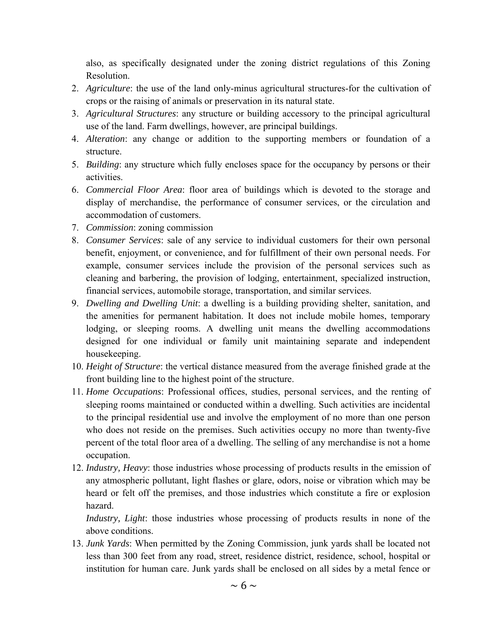also, as specifically designated under the zoning district regulations of this Zoning Resolution.

- 2. *Agriculture*: the use of the land only-minus agricultural structures-for the cultivation of crops or the raising of animals or preservation in its natural state.
- 3. *Agricultural Structures*: any structure or building accessory to the principal agricultural use of the land. Farm dwellings, however, are principal buildings.
- 4. *Alteration*: any change or addition to the supporting members or foundation of a structure.
- 5. *Building*: any structure which fully encloses space for the occupancy by persons or their activities.
- 6. *Commercial Floor Area*: floor area of buildings which is devoted to the storage and display of merchandise, the performance of consumer services, or the circulation and accommodation of customers.
- 7. *Commission*: zoning commission
- 8. *Consumer Services*: sale of any service to individual customers for their own personal benefit, enjoyment, or convenience, and for fulfillment of their own personal needs. For example, consumer services include the provision of the personal services such as cleaning and barbering, the provision of lodging, entertainment, specialized instruction, financial services, automobile storage, transportation, and similar services.
- 9. *Dwelling and Dwelling Unit*: a dwelling is a building providing shelter, sanitation, and the amenities for permanent habitation. It does not include mobile homes, temporary lodging, or sleeping rooms. A dwelling unit means the dwelling accommodations designed for one individual or family unit maintaining separate and independent housekeeping.
- 10. *Height of Structure*: the vertical distance measured from the average finished grade at the front building line to the highest point of the structure.
- 11. *Home Occupations*: Professional offices, studies, personal services, and the renting of sleeping rooms maintained or conducted within a dwelling. Such activities are incidental to the principal residential use and involve the employment of no more than one person who does not reside on the premises. Such activities occupy no more than twenty-five percent of the total floor area of a dwelling. The selling of any merchandise is not a home occupation.
- 12. *Industry, Heavy*: those industries whose processing of products results in the emission of any atmospheric pollutant, light flashes or glare, odors, noise or vibration which may be heard or felt off the premises, and those industries which constitute a fire or explosion hazard.

*Industry, Light*: those industries whose processing of products results in none of the above conditions.

13. *Junk Yards*: When permitted by the Zoning Commission, junk yards shall be located not less than 300 feet from any road, street, residence district, residence, school, hospital or institution for human care. Junk yards shall be enclosed on all sides by a metal fence or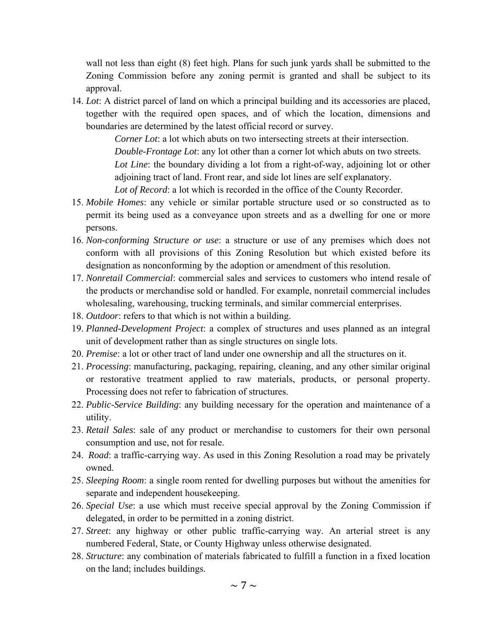wall not less than eight (8) feet high. Plans for such junk yards shall be submitted to the Zoning Commission before any zoning permit is granted and shall be subject to its approval.

14. *Lot*: A district parcel of land on which a principal building and its accessories are placed, together with the required open spaces, and of which the location, dimensions and boundaries are determined by the latest official record or survey.

> *Corner Lot*: a lot which abuts on two intersecting streets at their intersection. *Double-Frontage Lot*: any lot other than a corner lot which abuts on two streets. *Lot Line*: the boundary dividing a lot from a right-of-way, adjoining lot or other adjoining tract of land. Front rear, and side lot lines are self explanatory. *Lot of Record*: a lot which is recorded in the office of the County Recorder.

- 15. *Mobile Homes*: any vehicle or similar portable structure used or so constructed as to permit its being used as a conveyance upon streets and as a dwelling for one or more persons.
- 16. *Non-conforming Structure or use*: a structure or use of any premises which does not conform with all provisions of this Zoning Resolution but which existed before its designation as nonconforming by the adoption or amendment of this resolution.
- 17. *Nonretail Commercial*: commercial sales and services to customers who intend resale of the products or merchandise sold or handled. For example, nonretail commercial includes wholesaling, warehousing, trucking terminals, and similar commercial enterprises.
- 18. *Outdoor*: refers to that which is not within a building.
- 19. *Planned-Development Project*: a complex of structures and uses planned as an integral unit of development rather than as single structures on single lots.
- 20. *Premise*: a lot or other tract of land under one ownership and all the structures on it.
- 21. *Processing*: manufacturing, packaging, repairing, cleaning, and any other similar original or restorative treatment applied to raw materials, products, or personal property. Processing does not refer to fabrication of structures.
- 22. *Public-Service Building*: any building necessary for the operation and maintenance of a utility.
- 23. *Retail Sales*: sale of any product or merchandise to customers for their own personal consumption and use, not for resale.
- 24. *Road*: a traffic-carrying way. As used in this Zoning Resolution a road may be privately owned.
- 25. *Sleeping Room*: a single room rented for dwelling purposes but without the amenities for separate and independent housekeeping.
- 26. *Special Use*: a use which must receive special approval by the Zoning Commission if delegated, in order to be permitted in a zoning district.
- 27. *Street*: any highway or other public traffic-carrying way. An arterial street is any numbered Federal, State, or County Highway unless otherwise designated.
- 28. *Structure*: any combination of materials fabricated to fulfill a function in a fixed location on the land; includes buildings.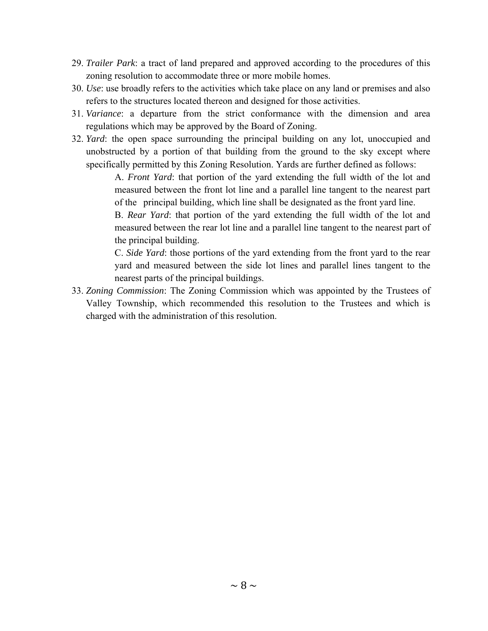- 29. *Trailer Park*: a tract of land prepared and approved according to the procedures of this zoning resolution to accommodate three or more mobile homes.
- 30. *Use*: use broadly refers to the activities which take place on any land or premises and also refers to the structures located thereon and designed for those activities.
- 31. *Variance*: a departure from the strict conformance with the dimension and area regulations which may be approved by the Board of Zoning.
- 32. *Yard*: the open space surrounding the principal building on any lot, unoccupied and unobstructed by a portion of that building from the ground to the sky except where specifically permitted by this Zoning Resolution. Yards are further defined as follows:

 A. *Front Yard*: that portion of the yard extending the full width of the lot and measured between the front lot line and a parallel line tangent to the nearest part of the principal building, which line shall be designated as the front yard line.

 B. *Rear Yard*: that portion of the yard extending the full width of the lot and measured between the rear lot line and a parallel line tangent to the nearest part of the principal building.

 C. *Side Yard*: those portions of the yard extending from the front yard to the rear yard and measured between the side lot lines and parallel lines tangent to the nearest parts of the principal buildings.

33. *Zoning Commission*: The Zoning Commission which was appointed by the Trustees of Valley Township, which recommended this resolution to the Trustees and which is charged with the administration of this resolution.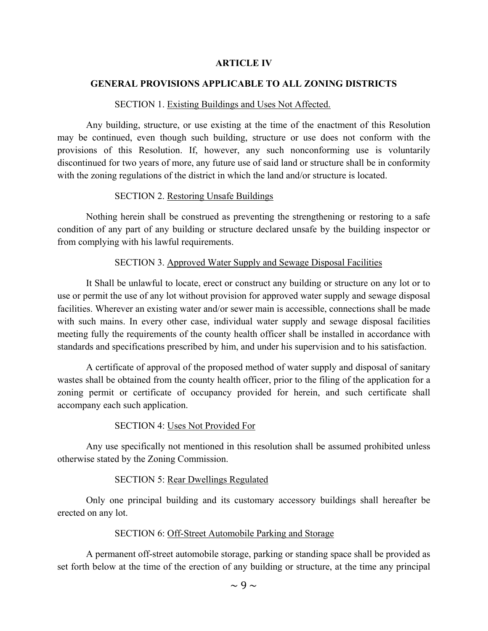## **ARTICLE IV**

## **GENERAL PROVISIONS APPLICABLE TO ALL ZONING DISTRICTS**

#### SECTION 1. Existing Buildings and Uses Not Affected.

 Any building, structure, or use existing at the time of the enactment of this Resolution may be continued, even though such building, structure or use does not conform with the provisions of this Resolution. If, however, any such nonconforming use is voluntarily discontinued for two years of more, any future use of said land or structure shall be in conformity with the zoning regulations of the district in which the land and/or structure is located.

## SECTION 2. Restoring Unsafe Buildings

 Nothing herein shall be construed as preventing the strengthening or restoring to a safe condition of any part of any building or structure declared unsafe by the building inspector or from complying with his lawful requirements.

## SECTION 3. Approved Water Supply and Sewage Disposal Facilities

 It Shall be unlawful to locate, erect or construct any building or structure on any lot or to use or permit the use of any lot without provision for approved water supply and sewage disposal facilities. Wherever an existing water and/or sewer main is accessible, connections shall be made with such mains. In every other case, individual water supply and sewage disposal facilities meeting fully the requirements of the county health officer shall be installed in accordance with standards and specifications prescribed by him, and under his supervision and to his satisfaction.

 A certificate of approval of the proposed method of water supply and disposal of sanitary wastes shall be obtained from the county health officer, prior to the filing of the application for a zoning permit or certificate of occupancy provided for herein, and such certificate shall accompany each such application.

## SECTION 4: Uses Not Provided For

 Any use specifically not mentioned in this resolution shall be assumed prohibited unless otherwise stated by the Zoning Commission.

## SECTION 5: Rear Dwellings Regulated

 Only one principal building and its customary accessory buildings shall hereafter be erected on any lot.

## SECTION 6: Off-Street Automobile Parking and Storage

 A permanent off-street automobile storage, parking or standing space shall be provided as set forth below at the time of the erection of any building or structure, at the time any principal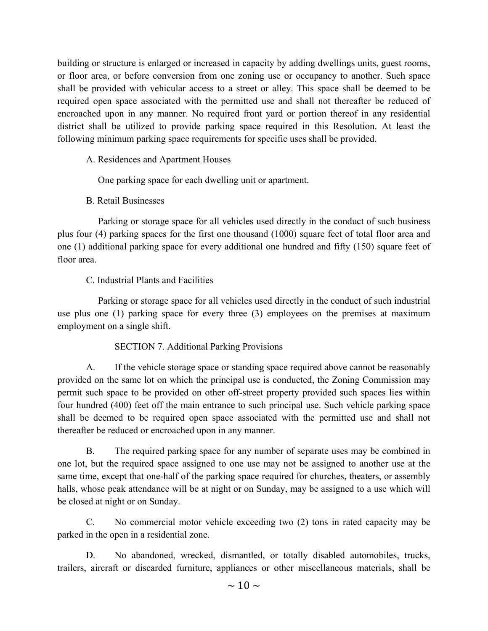building or structure is enlarged or increased in capacity by adding dwellings units, guest rooms, or floor area, or before conversion from one zoning use or occupancy to another. Such space shall be provided with vehicular access to a street or alley. This space shall be deemed to be required open space associated with the permitted use and shall not thereafter be reduced of encroached upon in any manner. No required front yard or portion thereof in any residential district shall be utilized to provide parking space required in this Resolution. At least the following minimum parking space requirements for specific uses shall be provided.

# A. Residences and Apartment Houses

One parking space for each dwelling unit or apartment.

# B. Retail Businesses

 Parking or storage space for all vehicles used directly in the conduct of such business plus four (4) parking spaces for the first one thousand (1000) square feet of total floor area and one (1) additional parking space for every additional one hundred and fifty (150) square feet of floor area.

# C. Industrial Plants and Facilities

 Parking or storage space for all vehicles used directly in the conduct of such industrial use plus one (1) parking space for every three (3) employees on the premises at maximum employment on a single shift.

## SECTION 7. Additional Parking Provisions

 A. If the vehicle storage space or standing space required above cannot be reasonably provided on the same lot on which the principal use is conducted, the Zoning Commission may permit such space to be provided on other off-street property provided such spaces lies within four hundred (400) feet off the main entrance to such principal use. Such vehicle parking space shall be deemed to be required open space associated with the permitted use and shall not thereafter be reduced or encroached upon in any manner.

 B. The required parking space for any number of separate uses may be combined in one lot, but the required space assigned to one use may not be assigned to another use at the same time, except that one-half of the parking space required for churches, theaters, or assembly halls, whose peak attendance will be at night or on Sunday, may be assigned to a use which will be closed at night or on Sunday.

 C. No commercial motor vehicle exceeding two (2) tons in rated capacity may be parked in the open in a residential zone.

 D. No abandoned, wrecked, dismantled, or totally disabled automobiles, trucks, trailers, aircraft or discarded furniture, appliances or other miscellaneous materials, shall be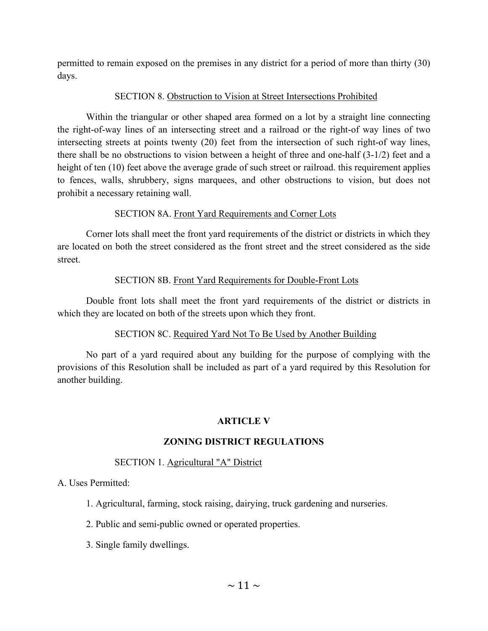permitted to remain exposed on the premises in any district for a period of more than thirty (30) days.

## SECTION 8. Obstruction to Vision at Street Intersections Prohibited

 Within the triangular or other shaped area formed on a lot by a straight line connecting the right-of-way lines of an intersecting street and a railroad or the right-of way lines of two intersecting streets at points twenty (20) feet from the intersection of such right-of way lines, there shall be no obstructions to vision between a height of three and one-half (3-1/2) feet and a height of ten (10) feet above the average grade of such street or railroad. this requirement applies to fences, walls, shrubbery, signs marquees, and other obstructions to vision, but does not prohibit a necessary retaining wall.

# SECTION 8A. Front Yard Requirements and Corner Lots

 Corner lots shall meet the front yard requirements of the district or districts in which they are located on both the street considered as the front street and the street considered as the side street.

# SECTION 8B. Front Yard Requirements for Double-Front Lots

 Double front lots shall meet the front yard requirements of the district or districts in which they are located on both of the streets upon which they front.

# SECTION 8C. Required Yard Not To Be Used by Another Building

 No part of a yard required about any building for the purpose of complying with the provisions of this Resolution shall be included as part of a yard required by this Resolution for another building.

# **ARTICLE V**

# **ZONING DISTRICT REGULATIONS**

# SECTION 1. Agricultural "A" District

A. Uses Permitted:

- 1. Agricultural, farming, stock raising, dairying, truck gardening and nurseries.
- 2. Public and semi-public owned or operated properties.
- 3. Single family dwellings.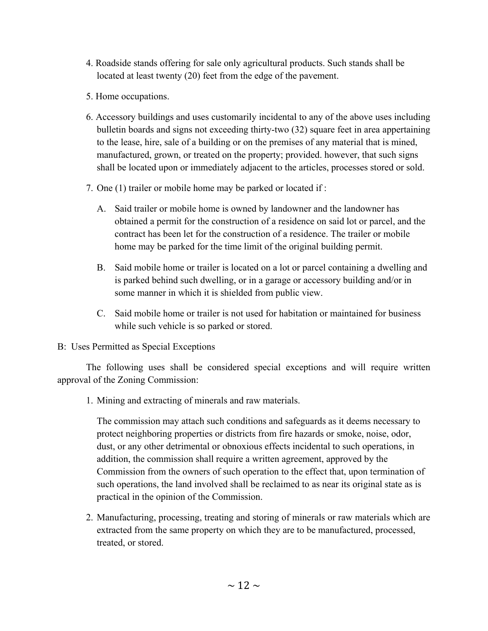- 4. Roadside stands offering for sale only agricultural products. Such stands shall be located at least twenty (20) feet from the edge of the pavement.
- 5. Home occupations.
- 6. Accessory buildings and uses customarily incidental to any of the above uses including bulletin boards and signs not exceeding thirty-two (32) square feet in area appertaining to the lease, hire, sale of a building or on the premises of any material that is mined, manufactured, grown, or treated on the property; provided. however, that such signs shall be located upon or immediately adjacent to the articles, processes stored or sold.
- 7. One (1) trailer or mobile home may be parked or located if :
	- A. Said trailer or mobile home is owned by landowner and the landowner has obtained a permit for the construction of a residence on said lot or parcel, and the contract has been let for the construction of a residence. The trailer or mobile home may be parked for the time limit of the original building permit.
	- B. Said mobile home or trailer is located on a lot or parcel containing a dwelling and is parked behind such dwelling, or in a garage or accessory building and/or in some manner in which it is shielded from public view.
	- C. Said mobile home or trailer is not used for habitation or maintained for business while such vehicle is so parked or stored.
- B: Uses Permitted as Special Exceptions

 The following uses shall be considered special exceptions and will require written approval of the Zoning Commission:

1. Mining and extracting of minerals and raw materials.

 The commission may attach such conditions and safeguards as it deems necessary to protect neighboring properties or districts from fire hazards or smoke, noise, odor, dust, or any other detrimental or obnoxious effects incidental to such operations, in addition, the commission shall require a written agreement, approved by the Commission from the owners of such operation to the effect that, upon termination of such operations, the land involved shall be reclaimed to as near its original state as is practical in the opinion of the Commission.

 2. Manufacturing, processing, treating and storing of minerals or raw materials which are extracted from the same property on which they are to be manufactured, processed, treated, or stored.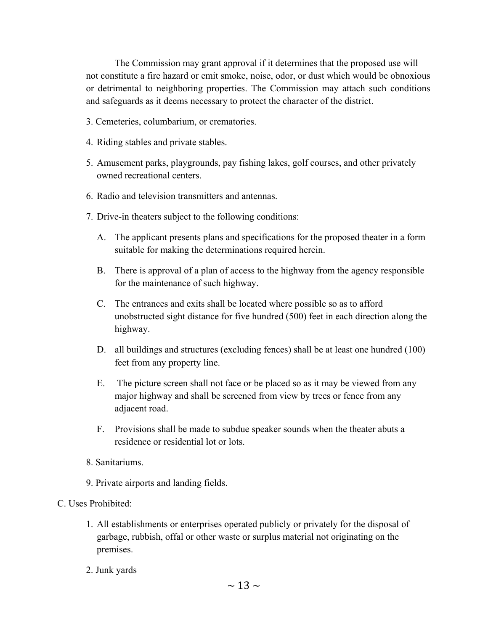The Commission may grant approval if it determines that the proposed use will not constitute a fire hazard or emit smoke, noise, odor, or dust which would be obnoxious or detrimental to neighboring properties. The Commission may attach such conditions and safeguards as it deems necessary to protect the character of the district.

- 3. Cemeteries, columbarium, or crematories.
- 4. Riding stables and private stables.
- 5. Amusement parks, playgrounds, pay fishing lakes, golf courses, and other privately owned recreational centers.
- 6. Radio and television transmitters and antennas.
- 7. Drive-in theaters subject to the following conditions:
	- A. The applicant presents plans and specifications for the proposed theater in a form suitable for making the determinations required herein.
	- B. There is approval of a plan of access to the highway from the agency responsible for the maintenance of such highway.
	- C. The entrances and exits shall be located where possible so as to afford unobstructed sight distance for five hundred (500) feet in each direction along the highway.
	- D. all buildings and structures (excluding fences) shall be at least one hundred (100) feet from any property line.
	- E. The picture screen shall not face or be placed so as it may be viewed from any major highway and shall be screened from view by trees or fence from any adjacent road.
	- F. Provisions shall be made to subdue speaker sounds when the theater abuts a residence or residential lot or lots.
- 8. Sanitariums.
- 9. Private airports and landing fields.

## C. Uses Prohibited:

- 1. All establishments or enterprises operated publicly or privately for the disposal of garbage, rubbish, offal or other waste or surplus material not originating on the premises.
- 2. Junk yards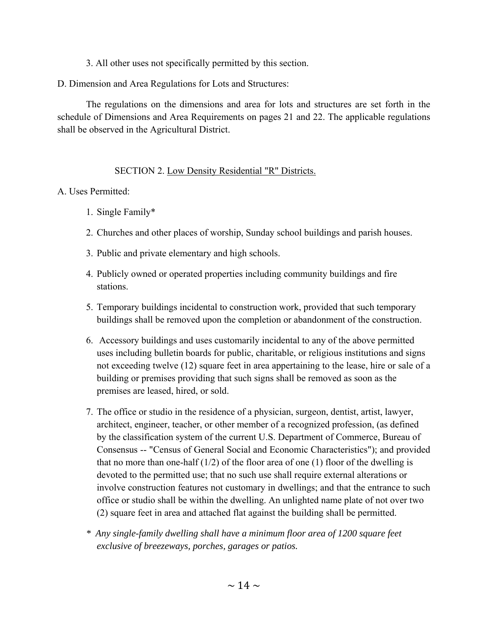3. All other uses not specifically permitted by this section.

D. Dimension and Area Regulations for Lots and Structures:

 The regulations on the dimensions and area for lots and structures are set forth in the schedule of Dimensions and Area Requirements on pages 21 and 22. The applicable regulations shall be observed in the Agricultural District.

# SECTION 2. Low Density Residential "R" Districts.

# A. Uses Permitted:

- 1. Single Family\*
- 2. Churches and other places of worship, Sunday school buildings and parish houses.
- 3. Public and private elementary and high schools.
- 4. Publicly owned or operated properties including community buildings and fire stations.
- 5. Temporary buildings incidental to construction work, provided that such temporary buildings shall be removed upon the completion or abandonment of the construction.
- 6. Accessory buildings and uses customarily incidental to any of the above permitted uses including bulletin boards for public, charitable, or religious institutions and signs not exceeding twelve (12) square feet in area appertaining to the lease, hire or sale of a building or premises providing that such signs shall be removed as soon as the premises are leased, hired, or sold.
- 7. The office or studio in the residence of a physician, surgeon, dentist, artist, lawyer, architect, engineer, teacher, or other member of a recognized profession, (as defined by the classification system of the current U.S. Department of Commerce, Bureau of Consensus -- "Census of General Social and Economic Characteristics"); and provided that no more than one-half  $(1/2)$  of the floor area of one (1) floor of the dwelling is devoted to the permitted use; that no such use shall require external alterations or involve construction features not customary in dwellings; and that the entrance to such office or studio shall be within the dwelling. An unlighted name plate of not over two (2) square feet in area and attached flat against the building shall be permitted.
- *\* Any single-family dwelling shall have a minimum floor area of 1200 square feet exclusive of breezeways, porches, garages or patios.*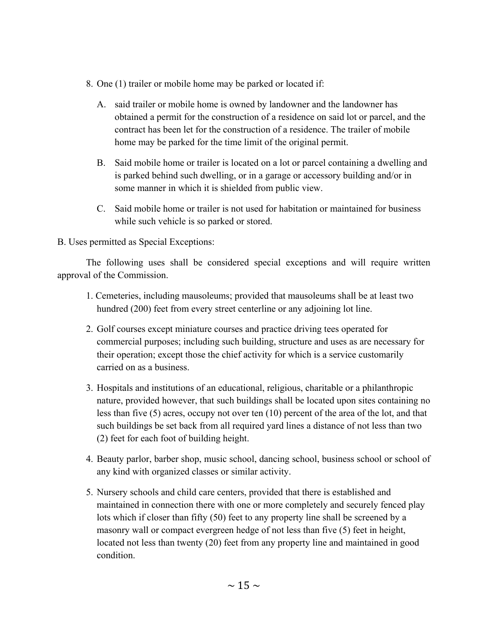- 8. One (1) trailer or mobile home may be parked or located if:
	- A. said trailer or mobile home is owned by landowner and the landowner has obtained a permit for the construction of a residence on said lot or parcel, and the contract has been let for the construction of a residence. The trailer of mobile home may be parked for the time limit of the original permit.
	- B. Said mobile home or trailer is located on a lot or parcel containing a dwelling and is parked behind such dwelling, or in a garage or accessory building and/or in some manner in which it is shielded from public view.
	- C. Said mobile home or trailer is not used for habitation or maintained for business while such vehicle is so parked or stored.

B. Uses permitted as Special Exceptions:

 The following uses shall be considered special exceptions and will require written approval of the Commission.

- 1. Cemeteries, including mausoleums; provided that mausoleums shall be at least two hundred (200) feet from every street centerline or any adjoining lot line.
- 2. Golf courses except miniature courses and practice driving tees operated for commercial purposes; including such building, structure and uses as are necessary for their operation; except those the chief activity for which is a service customarily carried on as a business.
- 3. Hospitals and institutions of an educational, religious, charitable or a philanthropic nature, provided however, that such buildings shall be located upon sites containing no less than five (5) acres, occupy not over ten (10) percent of the area of the lot, and that such buildings be set back from all required yard lines a distance of not less than two (2) feet for each foot of building height.
- 4. Beauty parlor, barber shop, music school, dancing school, business school or school of any kind with organized classes or similar activity.
- 5. Nursery schools and child care centers, provided that there is established and maintained in connection there with one or more completely and securely fenced play lots which if closer than fifty (50) feet to any property line shall be screened by a masonry wall or compact evergreen hedge of not less than five (5) feet in height, located not less than twenty (20) feet from any property line and maintained in good condition.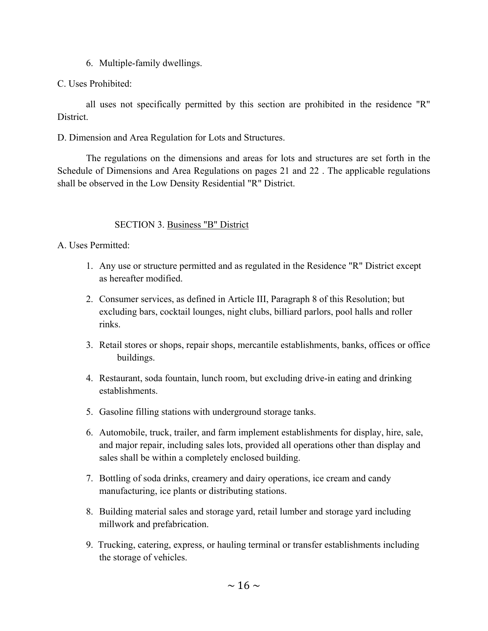6. Multiple-family dwellings.

# C. Uses Prohibited:

 all uses not specifically permitted by this section are prohibited in the residence "R" District.

D. Dimension and Area Regulation for Lots and Structures.

 The regulations on the dimensions and areas for lots and structures are set forth in the Schedule of Dimensions and Area Regulations on pages 21 and 22 . The applicable regulations shall be observed in the Low Density Residential "R" District.

# SECTION 3. Business "B" District

A. Uses Permitted:

- 1. Any use or structure permitted and as regulated in the Residence "R" District except as hereafter modified.
- 2. Consumer services, as defined in Article III, Paragraph 8 of this Resolution; but excluding bars, cocktail lounges, night clubs, billiard parlors, pool halls and roller rinks.
- 3. Retail stores or shops, repair shops, mercantile establishments, banks, offices or office buildings.
- 4. Restaurant, soda fountain, lunch room, but excluding drive-in eating and drinking establishments.
- 5. Gasoline filling stations with underground storage tanks.
- 6. Automobile, truck, trailer, and farm implement establishments for display, hire, sale, and major repair, including sales lots, provided all operations other than display and sales shall be within a completely enclosed building.
- 7. Bottling of soda drinks, creamery and dairy operations, ice cream and candy manufacturing, ice plants or distributing stations.
- 8. Building material sales and storage yard, retail lumber and storage yard including millwork and prefabrication.
- 9. Trucking, catering, express, or hauling terminal or transfer establishments including the storage of vehicles.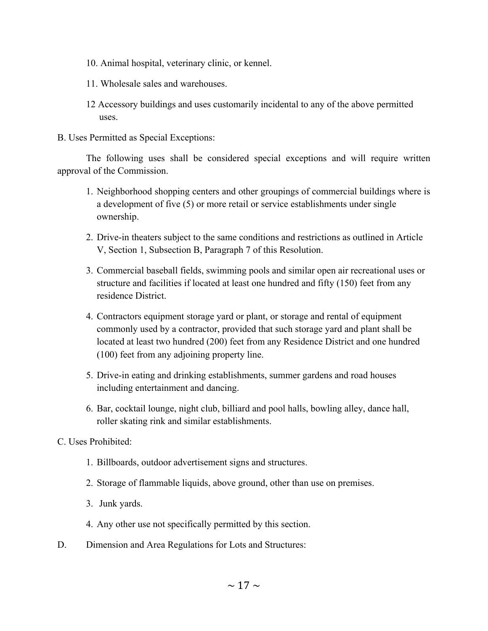- 10. Animal hospital, veterinary clinic, or kennel.
- 11. Wholesale sales and warehouses.
- 12 Accessory buildings and uses customarily incidental to any of the above permitted uses.
- B. Uses Permitted as Special Exceptions:

 The following uses shall be considered special exceptions and will require written approval of the Commission.

- 1. Neighborhood shopping centers and other groupings of commercial buildings where is a development of five (5) or more retail or service establishments under single ownership.
- 2. Drive-in theaters subject to the same conditions and restrictions as outlined in Article V, Section 1, Subsection B, Paragraph 7 of this Resolution.
- 3. Commercial baseball fields, swimming pools and similar open air recreational uses or structure and facilities if located at least one hundred and fifty (150) feet from any residence District.
- 4. Contractors equipment storage yard or plant, or storage and rental of equipment commonly used by a contractor, provided that such storage yard and plant shall be located at least two hundred (200) feet from any Residence District and one hundred (100) feet from any adjoining property line.
- 5. Drive-in eating and drinking establishments, summer gardens and road houses including entertainment and dancing.
- 6. Bar, cocktail lounge, night club, billiard and pool halls, bowling alley, dance hall, roller skating rink and similar establishments.
- C. Uses Prohibited:
	- 1. Billboards, outdoor advertisement signs and structures.
	- 2. Storage of flammable liquids, above ground, other than use on premises.
	- 3. Junk yards.
	- 4. Any other use not specifically permitted by this section.
- D. Dimension and Area Regulations for Lots and Structures: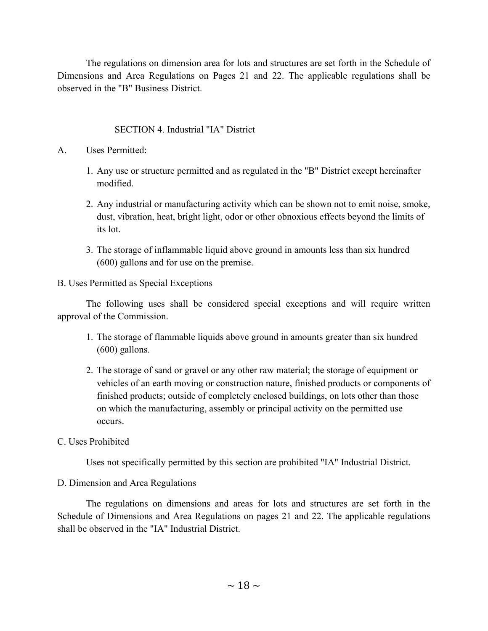The regulations on dimension area for lots and structures are set forth in the Schedule of Dimensions and Area Regulations on Pages 21 and 22. The applicable regulations shall be observed in the "B" Business District.

# SECTION 4. Industrial "IA" District

- A. Uses Permitted:
	- 1. Any use or structure permitted and as regulated in the "B" District except hereinafter modified.
	- 2. Any industrial or manufacturing activity which can be shown not to emit noise, smoke, dust, vibration, heat, bright light, odor or other obnoxious effects beyond the limits of its lot.
	- 3. The storage of inflammable liquid above ground in amounts less than six hundred (600) gallons and for use on the premise.

## B. Uses Permitted as Special Exceptions

 The following uses shall be considered special exceptions and will require written approval of the Commission.

- 1. The storage of flammable liquids above ground in amounts greater than six hundred (600) gallons.
- 2. The storage of sand or gravel or any other raw material; the storage of equipment or vehicles of an earth moving or construction nature, finished products or components of finished products; outside of completely enclosed buildings, on lots other than those on which the manufacturing, assembly or principal activity on the permitted use occurs.

## C. Uses Prohibited

Uses not specifically permitted by this section are prohibited "IA" Industrial District.

# D. Dimension and Area Regulations

 The regulations on dimensions and areas for lots and structures are set forth in the Schedule of Dimensions and Area Regulations on pages 21 and 22. The applicable regulations shall be observed in the "IA" Industrial District.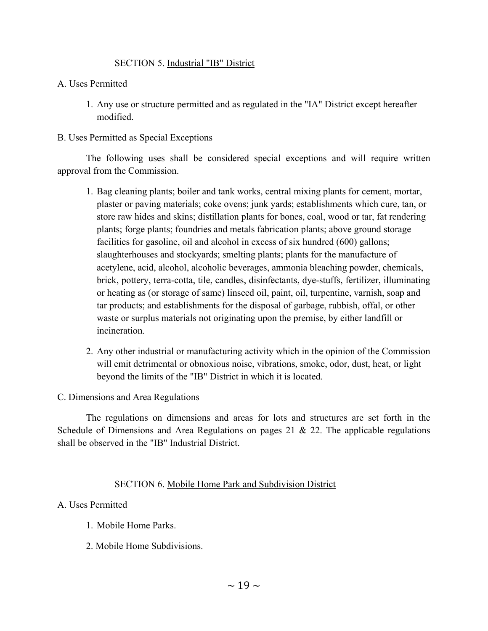## SECTION 5. Industrial "IB" District

## A. Uses Permitted

 1. Any use or structure permitted and as regulated in the "IA" District except hereafter modified.

## B. Uses Permitted as Special Exceptions

 The following uses shall be considered special exceptions and will require written approval from the Commission.

- 1. Bag cleaning plants; boiler and tank works, central mixing plants for cement, mortar, plaster or paving materials; coke ovens; junk yards; establishments which cure, tan, or store raw hides and skins; distillation plants for bones, coal, wood or tar, fat rendering plants; forge plants; foundries and metals fabrication plants; above ground storage facilities for gasoline, oil and alcohol in excess of six hundred (600) gallons; slaughterhouses and stockyards; smelting plants; plants for the manufacture of acetylene, acid, alcohol, alcoholic beverages, ammonia bleaching powder, chemicals, brick, pottery, terra-cotta, tile, candles, disinfectants, dye-stuffs, fertilizer, illuminating or heating as (or storage of same) linseed oil, paint, oil, turpentine, varnish, soap and tar products; and establishments for the disposal of garbage, rubbish, offal, or other waste or surplus materials not originating upon the premise, by either landfill or incineration.
- 2. Any other industrial or manufacturing activity which in the opinion of the Commission will emit detrimental or obnoxious noise, vibrations, smoke, odor, dust, heat, or light beyond the limits of the "IB" District in which it is located.

## C. Dimensions and Area Regulations

 The regulations on dimensions and areas for lots and structures are set forth in the Schedule of Dimensions and Area Regulations on pages 21 & 22. The applicable regulations shall be observed in the "IB" Industrial District.

## SECTION 6. Mobile Home Park and Subdivision District

## A. Uses Permitted

- 1. Mobile Home Parks.
- 2. Mobile Home Subdivisions.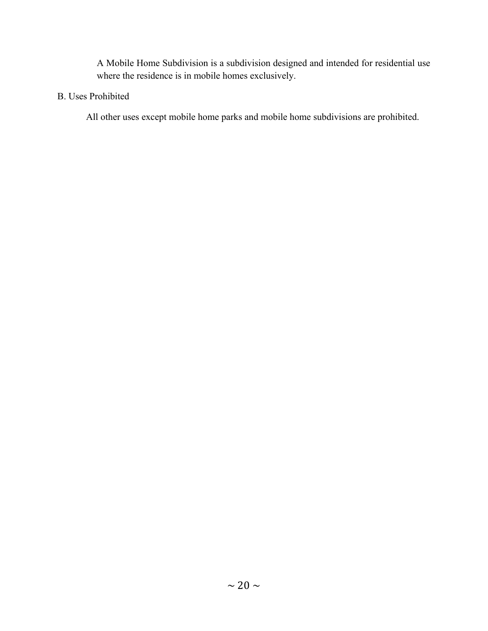A Mobile Home Subdivision is a subdivision designed and intended for residential use where the residence is in mobile homes exclusively.

## B. Uses Prohibited

All other uses except mobile home parks and mobile home subdivisions are prohibited.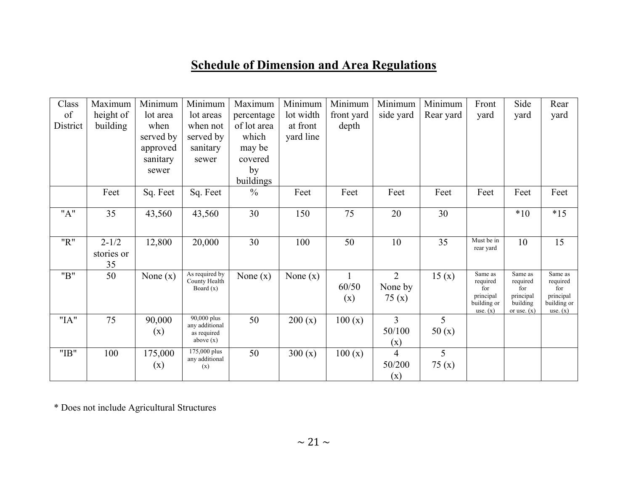# **Schedule of Dimension and Area Regulations**

| Class    | Maximum    | Minimum    | Minimum                         | Maximum       | Minimum    | Minimum    | Minimum        | Minimum   | Front                    | Side                  | Rear                     |
|----------|------------|------------|---------------------------------|---------------|------------|------------|----------------|-----------|--------------------------|-----------------------|--------------------------|
| of       | height of  | lot area   | lot areas                       | percentage    | lot width  | front yard | side yard      | Rear yard | yard                     | yard                  | yard                     |
| District | building   | when       | when not                        | of lot area   | at front   | depth      |                |           |                          |                       |                          |
|          |            | served by  | served by                       | which         | yard line  |            |                |           |                          |                       |                          |
|          |            | approved   | sanitary                        | may be        |            |            |                |           |                          |                       |                          |
|          |            | sanitary   | sewer                           | covered       |            |            |                |           |                          |                       |                          |
|          |            | sewer      |                                 | by            |            |            |                |           |                          |                       |                          |
|          |            |            |                                 | buildings     |            |            |                |           |                          |                       |                          |
|          | Feet       | Sq. Feet   | Sq. Feet                        | $\frac{0}{0}$ | Feet       | Feet       | Feet           | Feet      | Feet                     | Feet                  | Feet                     |
| "A"      | 35         | 43,560     | 43,560                          | 30            | 150        | 75         | 20             | 30        |                          | $*10$                 | $*15$                    |
|          |            |            |                                 |               |            |            |                |           |                          |                       |                          |
| "R"      | $2 - 1/2$  | 12,800     | 20,000                          | 30            | 100        | 50         | 10             | 35        | Must be in<br>rear yard  | 10                    | 15                       |
|          | stories or |            |                                 |               |            |            |                |           |                          |                       |                          |
|          | 35         |            |                                 |               |            |            |                |           |                          |                       |                          |
| "B"      | 50         | None $(x)$ | As required by<br>County Health | None $(x)$    | None $(x)$ |            | $\overline{2}$ | 15(x)     | Same as<br>required      | Same as<br>required   | Same as<br>required      |
|          |            |            | Board $(x)$                     |               |            | 60/50      | None by        |           | for                      | for                   | for                      |
|          |            |            |                                 |               |            | (x)        | 75(x)          |           | principal<br>building or | principal<br>building | principal<br>building or |
|          |            |            |                                 |               |            |            |                |           | use. $(x)$               | or use. $(x)$         | use. $(x)$               |
| "IA"     | 75         | 90,000     | 90,000 plus<br>any additional   | 50            | 200(x)     | 100(x)     | $\overline{3}$ | 5         |                          |                       |                          |
|          |            | (x)        | as required                     |               |            |            | 50/100         | 50(x)     |                          |                       |                          |
|          |            |            | above $(x)$                     |               |            |            | (x)            |           |                          |                       |                          |
| "IB"     | 100        | 175,000    | 175,000 plus<br>any additional  | 50            | 300(x)     | 100(x)     | 4              | 5         |                          |                       |                          |
|          |            | (x)        | (x)                             |               |            |            | 50/200         | 75(x)     |                          |                       |                          |
|          |            |            |                                 |               |            |            | (x)            |           |                          |                       |                          |

\* Does not include Agricultural Structures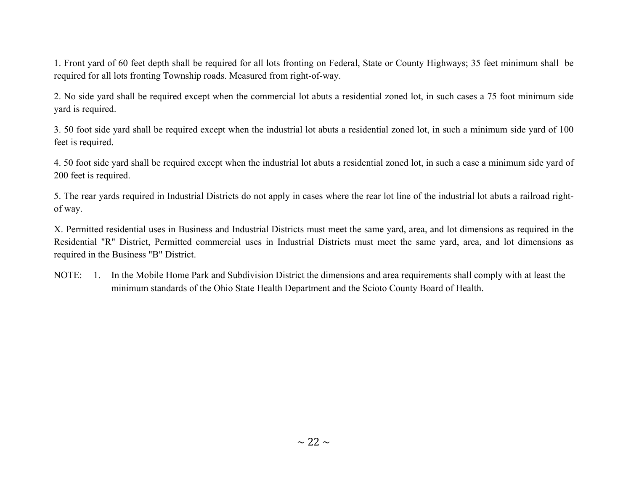1. Front yard of 60 feet depth shall be required for all lots fronting on Federal, State or County Highways; 35 feet minimum shall be required for all lots fronting Township roads. Measured from right-of-way.

2. No side yard shall be required except when the commercial lot abuts a residential zoned lot, in such cases a 75 foot minimum side yard is required.

3. 50 foot side yard shall be required except when the industrial lot abuts a residential zoned lot, in such a minimum side yard of 100 feet is required.

4. 50 foot side yard shall be required except when the industrial lot abuts a residential zoned lot, in such a case a minimum side yard of 200 feet is required.

5. The rear yards required in Industrial Districts do not apply in cases where the rear lot line of the industrial lot abuts a railroad rightof way.

X. Permitted residential uses in Business and Industrial Districts must meet the same yard, area, and lot dimensions as required in the Residential "R" District, Permitted commercial uses in Industrial Districts must meet the same yard, area, and lot dimensions as required in the Business "B" District.

NOTE: 1. In the Mobile Home Park and Subdivision District the dimensions and area requirements shall comply with at least the minimum standards of the Ohio State Health Department and the Scioto County Board of Health.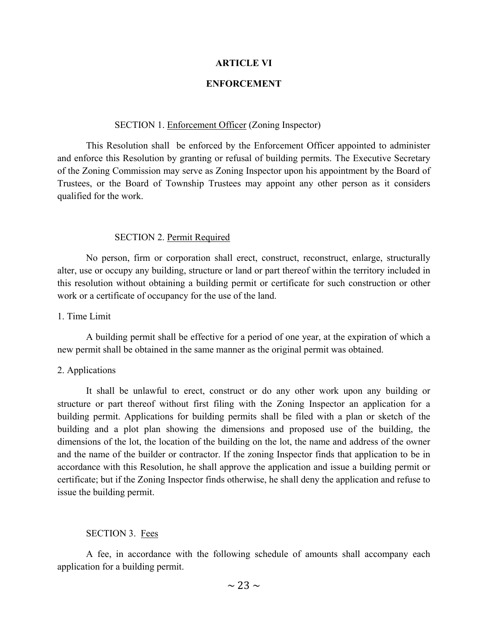#### **ARTICLE VI**

## **ENFORCEMENT**

#### SECTION 1. Enforcement Officer (Zoning Inspector)

 This Resolution shall be enforced by the Enforcement Officer appointed to administer and enforce this Resolution by granting or refusal of building permits. The Executive Secretary of the Zoning Commission may serve as Zoning Inspector upon his appointment by the Board of Trustees, or the Board of Township Trustees may appoint any other person as it considers qualified for the work.

#### SECTION 2. Permit Required

 No person, firm or corporation shall erect, construct, reconstruct, enlarge, structurally alter, use or occupy any building, structure or land or part thereof within the territory included in this resolution without obtaining a building permit or certificate for such construction or other work or a certificate of occupancy for the use of the land.

#### 1. Time Limit

 A building permit shall be effective for a period of one year, at the expiration of which a new permit shall be obtained in the same manner as the original permit was obtained.

#### 2. Applications

 It shall be unlawful to erect, construct or do any other work upon any building or structure or part thereof without first filing with the Zoning Inspector an application for a building permit. Applications for building permits shall be filed with a plan or sketch of the building and a plot plan showing the dimensions and proposed use of the building, the dimensions of the lot, the location of the building on the lot, the name and address of the owner and the name of the builder or contractor. If the zoning Inspector finds that application to be in accordance with this Resolution, he shall approve the application and issue a building permit or certificate; but if the Zoning Inspector finds otherwise, he shall deny the application and refuse to issue the building permit.

#### SECTION 3. Fees

 A fee, in accordance with the following schedule of amounts shall accompany each application for a building permit.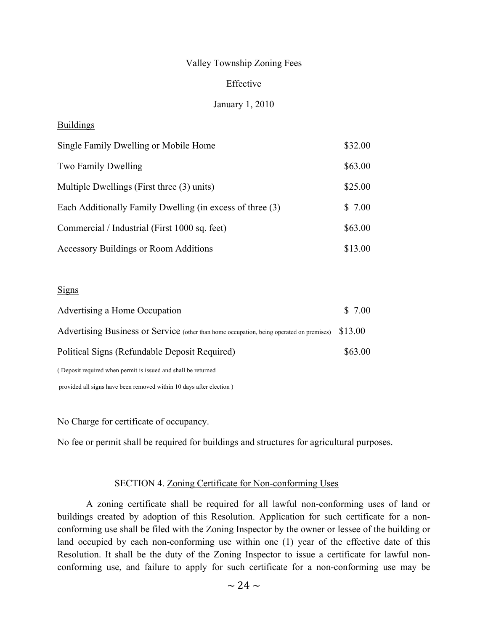## Valley Township Zoning Fees

## Effective

## January 1, 2010

## Buildings

| Single Family Dwelling or Mobile Home                     | \$32.00 |  |
|-----------------------------------------------------------|---------|--|
| Two Family Dwelling                                       | \$63.00 |  |
| Multiple Dwellings (First three (3) units)                | \$25.00 |  |
| Each Additionally Family Dwelling (in excess of three (3) | \$7.00  |  |
| Commercial / Industrial (First 1000 sq. feet)             |         |  |
| <b>Accessory Buildings or Room Additions</b>              | \$13.00 |  |

#### Signs

| Advertising a Home Occupation                                                            | \$7.00  |
|------------------------------------------------------------------------------------------|---------|
| Advertising Business or Service (other than home occupation, being operated on premises) | \$13.00 |
| Political Signs (Refundable Deposit Required)                                            | \$63.00 |
| (Deposit required when permit is issued and shall be returned                            |         |
|                                                                                          |         |

provided all signs have been removed within 10 days after election )

No Charge for certificate of occupancy.

No fee or permit shall be required for buildings and structures for agricultural purposes.

#### SECTION 4. Zoning Certificate for Non-conforming Uses

 A zoning certificate shall be required for all lawful non-conforming uses of land or buildings created by adoption of this Resolution. Application for such certificate for a nonconforming use shall be filed with the Zoning Inspector by the owner or lessee of the building or land occupied by each non-conforming use within one (1) year of the effective date of this Resolution. It shall be the duty of the Zoning Inspector to issue a certificate for lawful nonconforming use, and failure to apply for such certificate for a non-conforming use may be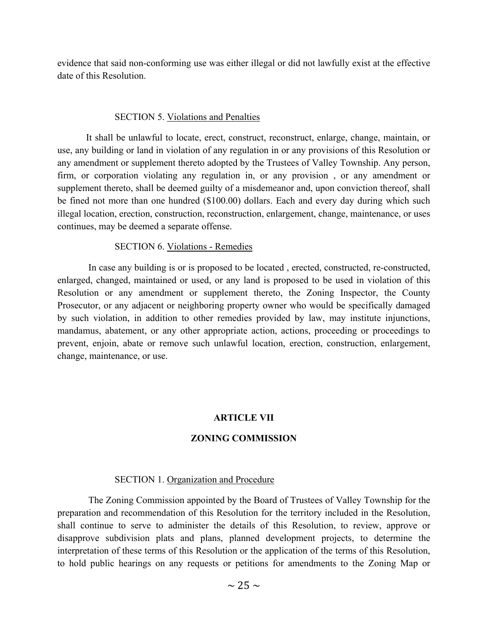evidence that said non-conforming use was either illegal or did not lawfully exist at the effective date of this Resolution.

## SECTION 5. Violations and Penalties

 It shall be unlawful to locate, erect, construct, reconstruct, enlarge, change, maintain, or use, any building or land in violation of any regulation in or any provisions of this Resolution or any amendment or supplement thereto adopted by the Trustees of Valley Township. Any person, firm, or corporation violating any regulation in, or any provision , or any amendment or supplement thereto, shall be deemed guilty of a misdemeanor and, upon conviction thereof, shall be fined not more than one hundred (\$100.00) dollars. Each and every day during which such illegal location, erection, construction, reconstruction, enlargement, change, maintenance, or uses continues, may be deemed a separate offense.

## SECTION 6. Violations - Remedies

 In case any building is or is proposed to be located , erected, constructed, re-constructed, enlarged, changed, maintained or used, or any land is proposed to be used in violation of this Resolution or any amendment or supplement thereto, the Zoning Inspector, the County Prosecutor, or any adjacent or neighboring property owner who would be specifically damaged by such violation, in addition to other remedies provided by law, may institute injunctions, mandamus, abatement, or any other appropriate action, actions, proceeding or proceedings to prevent, enjoin, abate or remove such unlawful location, erection, construction, enlargement, change, maintenance, or use.

## **ARTICLE VII**

## **ZONING COMMISSION**

## SECTION 1. Organization and Procedure

 The Zoning Commission appointed by the Board of Trustees of Valley Township for the preparation and recommendation of this Resolution for the territory included in the Resolution, shall continue to serve to administer the details of this Resolution, to review, approve or disapprove subdivision plats and plans, planned development projects, to determine the interpretation of these terms of this Resolution or the application of the terms of this Resolution, to hold public hearings on any requests or petitions for amendments to the Zoning Map or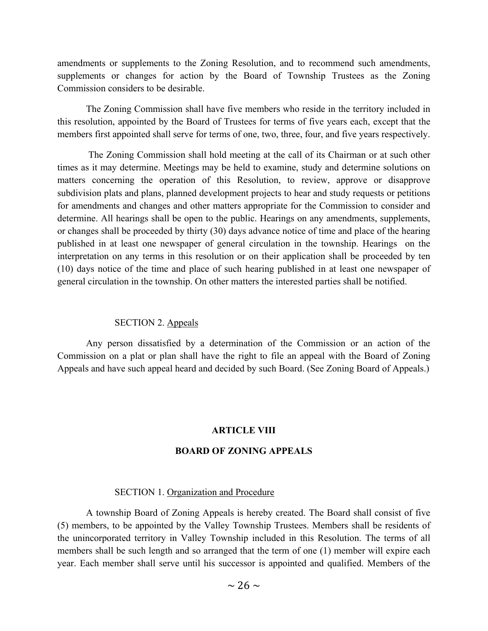amendments or supplements to the Zoning Resolution, and to recommend such amendments, supplements or changes for action by the Board of Township Trustees as the Zoning Commission considers to be desirable.

 The Zoning Commission shall have five members who reside in the territory included in this resolution, appointed by the Board of Trustees for terms of five years each, except that the members first appointed shall serve for terms of one, two, three, four, and five years respectively.

 The Zoning Commission shall hold meeting at the call of its Chairman or at such other times as it may determine. Meetings may be held to examine, study and determine solutions on matters concerning the operation of this Resolution, to review, approve or disapprove subdivision plats and plans, planned development projects to hear and study requests or petitions for amendments and changes and other matters appropriate for the Commission to consider and determine. All hearings shall be open to the public. Hearings on any amendments, supplements, or changes shall be proceeded by thirty (30) days advance notice of time and place of the hearing published in at least one newspaper of general circulation in the township. Hearings on the interpretation on any terms in this resolution or on their application shall be proceeded by ten (10) days notice of the time and place of such hearing published in at least one newspaper of general circulation in the township. On other matters the interested parties shall be notified.

#### SECTION 2. Appeals

 Any person dissatisfied by a determination of the Commission or an action of the Commission on a plat or plan shall have the right to file an appeal with the Board of Zoning Appeals and have such appeal heard and decided by such Board. (See Zoning Board of Appeals.)

#### **ARTICLE VIII**

#### **BOARD OF ZONING APPEALS**

#### SECTION 1. Organization and Procedure

 A township Board of Zoning Appeals is hereby created. The Board shall consist of five (5) members, to be appointed by the Valley Township Trustees. Members shall be residents of the unincorporated territory in Valley Township included in this Resolution. The terms of all members shall be such length and so arranged that the term of one (1) member will expire each year. Each member shall serve until his successor is appointed and qualified. Members of the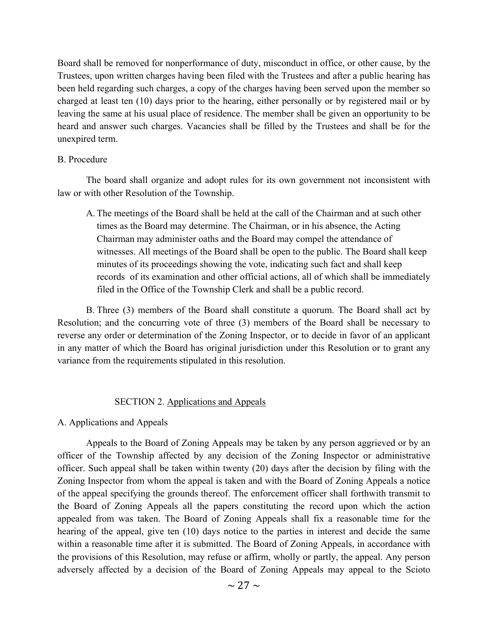Board shall be removed for nonperformance of duty, misconduct in office, or other cause, by the Trustees, upon written charges having been filed with the Trustees and after a public hearing has been held regarding such charges, a copy of the charges having been served upon the member so charged at least ten (10) days prior to the hearing, either personally or by registered mail or by leaving the same at his usual place of residence. The member shall be given an opportunity to be heard and answer such charges. Vacancies shall be filled by the Trustees and shall be for the unexpired term.

## B. Procedure

 The board shall organize and adopt rules for its own government not inconsistent with law or with other Resolution of the Township.

 A. The meetings of the Board shall be held at the call of the Chairman and at such other times as the Board may determine. The Chairman, or in his absence, the Acting Chairman may administer oaths and the Board may compel the attendance of witnesses. All meetings of the Board shall be open to the public. The Board shall keep minutes of its proceedings showing the vote, indicating such fact and shall keep records of its examination and other official actions, all of which shall be immediately filed in the Office of the Township Clerk and shall be a public record.

 B. Three (3) members of the Board shall constitute a quorum. The Board shall act by Resolution; and the concurring vote of three (3) members of the Board shall be necessary to reverse any order or determination of the Zoning Inspector, or to decide in favor of an applicant in any matter of which the Board has original jurisdiction under this Resolution or to grant any variance from the requirements stipulated in this resolution.

## SECTION 2. Applications and Appeals

#### A. Applications and Appeals

 Appeals to the Board of Zoning Appeals may be taken by any person aggrieved or by an officer of the Township affected by any decision of the Zoning Inspector or administrative officer. Such appeal shall be taken within twenty (20) days after the decision by filing with the Zoning Inspector from whom the appeal is taken and with the Board of Zoning Appeals a notice of the appeal specifying the grounds thereof. The enforcement officer shall forthwith transmit to the Board of Zoning Appeals all the papers constituting the record upon which the action appealed from was taken. The Board of Zoning Appeals shall fix a reasonable time for the hearing of the appeal, give ten (10) days notice to the parties in interest and decide the same within a reasonable time after it is submitted. The Board of Zoning Appeals, in accordance with the provisions of this Resolution, may refuse or affirm, wholly or partly, the appeal. Any person adversely affected by a decision of the Board of Zoning Appeals may appeal to the Scioto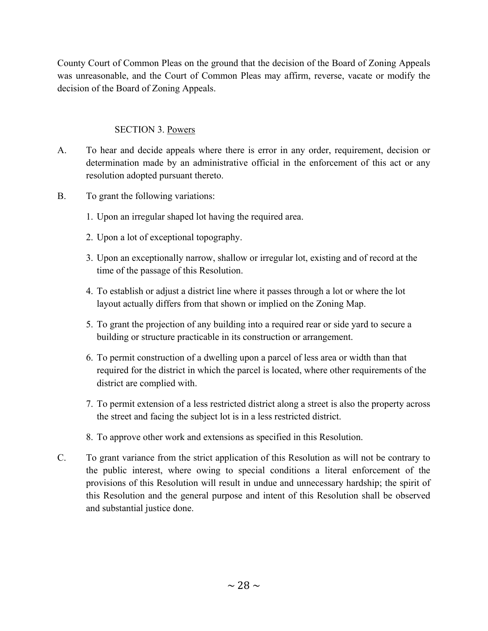County Court of Common Pleas on the ground that the decision of the Board of Zoning Appeals was unreasonable, and the Court of Common Pleas may affirm, reverse, vacate or modify the decision of the Board of Zoning Appeals.

# SECTION 3. Powers

- A. To hear and decide appeals where there is error in any order, requirement, decision or determination made by an administrative official in the enforcement of this act or any resolution adopted pursuant thereto.
- B. To grant the following variations:
	- 1. Upon an irregular shaped lot having the required area.
	- 2. Upon a lot of exceptional topography.
	- 3. Upon an exceptionally narrow, shallow or irregular lot, existing and of record at the time of the passage of this Resolution.
	- 4. To establish or adjust a district line where it passes through a lot or where the lot layout actually differs from that shown or implied on the Zoning Map.
	- 5. To grant the projection of any building into a required rear or side yard to secure a building or structure practicable in its construction or arrangement.
	- 6. To permit construction of a dwelling upon a parcel of less area or width than that required for the district in which the parcel is located, where other requirements of the district are complied with.
	- 7. To permit extension of a less restricted district along a street is also the property across the street and facing the subject lot is in a less restricted district.
	- 8. To approve other work and extensions as specified in this Resolution.
- C. To grant variance from the strict application of this Resolution as will not be contrary to the public interest, where owing to special conditions a literal enforcement of the provisions of this Resolution will result in undue and unnecessary hardship; the spirit of this Resolution and the general purpose and intent of this Resolution shall be observed and substantial justice done.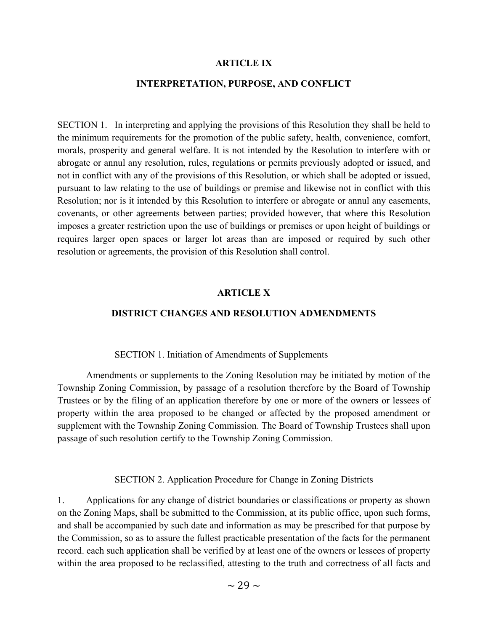#### **ARTICLE IX**

## **INTERPRETATION, PURPOSE, AND CONFLICT**

SECTION 1. In interpreting and applying the provisions of this Resolution they shall be held to the minimum requirements for the promotion of the public safety, health, convenience, comfort, morals, prosperity and general welfare. It is not intended by the Resolution to interfere with or abrogate or annul any resolution, rules, regulations or permits previously adopted or issued, and not in conflict with any of the provisions of this Resolution, or which shall be adopted or issued, pursuant to law relating to the use of buildings or premise and likewise not in conflict with this Resolution; nor is it intended by this Resolution to interfere or abrogate or annul any easements, covenants, or other agreements between parties; provided however, that where this Resolution imposes a greater restriction upon the use of buildings or premises or upon height of buildings or requires larger open spaces or larger lot areas than are imposed or required by such other resolution or agreements, the provision of this Resolution shall control.

#### **ARTICLE X**

## **DISTRICT CHANGES AND RESOLUTION ADMENDMENTS**

#### SECTION 1. Initiation of Amendments of Supplements

 Amendments or supplements to the Zoning Resolution may be initiated by motion of the Township Zoning Commission, by passage of a resolution therefore by the Board of Township Trustees or by the filing of an application therefore by one or more of the owners or lessees of property within the area proposed to be changed or affected by the proposed amendment or supplement with the Township Zoning Commission. The Board of Township Trustees shall upon passage of such resolution certify to the Township Zoning Commission.

#### SECTION 2. Application Procedure for Change in Zoning Districts

1. Applications for any change of district boundaries or classifications or property as shown on the Zoning Maps, shall be submitted to the Commission, at its public office, upon such forms, and shall be accompanied by such date and information as may be prescribed for that purpose by the Commission, so as to assure the fullest practicable presentation of the facts for the permanent record. each such application shall be verified by at least one of the owners or lessees of property within the area proposed to be reclassified, attesting to the truth and correctness of all facts and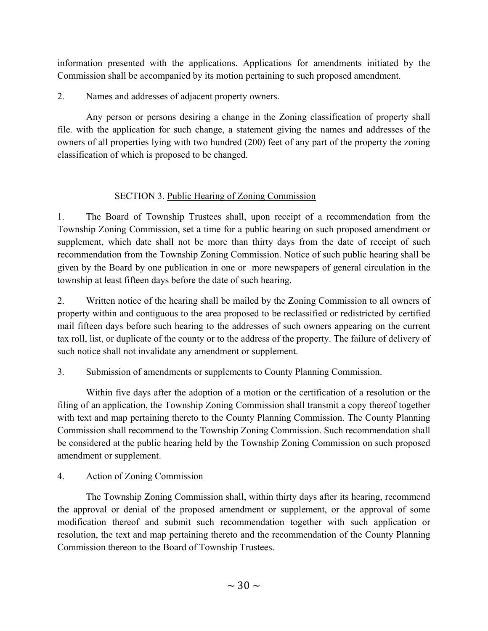information presented with the applications. Applications for amendments initiated by the Commission shall be accompanied by its motion pertaining to such proposed amendment.

2. Names and addresses of adjacent property owners.

 Any person or persons desiring a change in the Zoning classification of property shall file. with the application for such change, a statement giving the names and addresses of the owners of all properties lying with two hundred (200) feet of any part of the property the zoning classification of which is proposed to be changed.

# SECTION 3. Public Hearing of Zoning Commission

1. The Board of Township Trustees shall, upon receipt of a recommendation from the Township Zoning Commission, set a time for a public hearing on such proposed amendment or supplement, which date shall not be more than thirty days from the date of receipt of such recommendation from the Township Zoning Commission. Notice of such public hearing shall be given by the Board by one publication in one or more newspapers of general circulation in the township at least fifteen days before the date of such hearing.

2. Written notice of the hearing shall be mailed by the Zoning Commission to all owners of property within and contiguous to the area proposed to be reclassified or redistricted by certified mail fifteen days before such hearing to the addresses of such owners appearing on the current tax roll, list, or duplicate of the county or to the address of the property. The failure of delivery of such notice shall not invalidate any amendment or supplement.

3. Submission of amendments or supplements to County Planning Commission.

 Within five days after the adoption of a motion or the certification of a resolution or the filing of an application, the Township Zoning Commission shall transmit a copy thereof together with text and map pertaining thereto to the County Planning Commission. The County Planning Commission shall recommend to the Township Zoning Commission. Such recommendation shall be considered at the public hearing held by the Township Zoning Commission on such proposed amendment or supplement.

# 4. Action of Zoning Commission

 The Township Zoning Commission shall, within thirty days after its hearing, recommend the approval or denial of the proposed amendment or supplement, or the approval of some modification thereof and submit such recommendation together with such application or resolution, the text and map pertaining thereto and the recommendation of the County Planning Commission thereon to the Board of Township Trustees.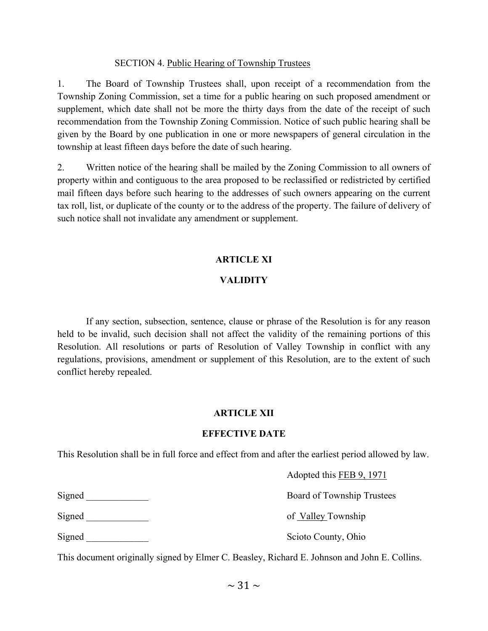## SECTION 4. Public Hearing of Township Trustees

1. The Board of Township Trustees shall, upon receipt of a recommendation from the Township Zoning Commission, set a time for a public hearing on such proposed amendment or supplement, which date shall not be more the thirty days from the date of the receipt of such recommendation from the Township Zoning Commission. Notice of such public hearing shall be given by the Board by one publication in one or more newspapers of general circulation in the township at least fifteen days before the date of such hearing.

2. Written notice of the hearing shall be mailed by the Zoning Commission to all owners of property within and contiguous to the area proposed to be reclassified or redistricted by certified mail fifteen days before such hearing to the addresses of such owners appearing on the current tax roll, list, or duplicate of the county or to the address of the property. The failure of delivery of such notice shall not invalidate any amendment or supplement.

## **ARTICLE XI**

## **VALIDITY**

 If any section, subsection, sentence, clause or phrase of the Resolution is for any reason held to be invalid, such decision shall not affect the validity of the remaining portions of this Resolution. All resolutions or parts of Resolution of Valley Township in conflict with any regulations, provisions, amendment or supplement of this Resolution, are to the extent of such conflict hereby repealed.

## **ARTICLE XII**

## **EFFECTIVE DATE**

This Resolution shall be in full force and effect from and after the earliest period allowed by law.

Adopted this FEB 9, 1971

|        | $1.48$ procedure $1.44$ $1.47$ $1.71$ |
|--------|---------------------------------------|
| Signed | Board of Township Trustees            |
| Signed | of Valley Township                    |
| Signed | Scioto County, Ohio                   |

This document originally signed by Elmer C. Beasley, Richard E. Johnson and John E. Collins.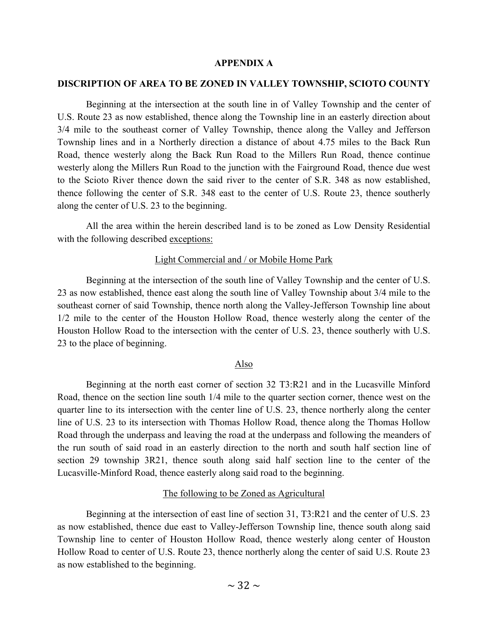#### **APPENDIX A**

#### **DISCRIPTION OF AREA TO BE ZONED IN VALLEY TOWNSHIP, SCIOTO COUNTY**

 Beginning at the intersection at the south line in of Valley Township and the center of U.S. Route 23 as now established, thence along the Township line in an easterly direction about 3/4 mile to the southeast corner of Valley Township, thence along the Valley and Jefferson Township lines and in a Northerly direction a distance of about 4.75 miles to the Back Run Road, thence westerly along the Back Run Road to the Millers Run Road, thence continue westerly along the Millers Run Road to the junction with the Fairground Road, thence due west to the Scioto River thence down the said river to the center of S.R. 348 as now established, thence following the center of S.R. 348 east to the center of U.S. Route 23, thence southerly along the center of U.S. 23 to the beginning.

 All the area within the herein described land is to be zoned as Low Density Residential with the following described exceptions:

#### Light Commercial and / or Mobile Home Park

 Beginning at the intersection of the south line of Valley Township and the center of U.S. 23 as now established, thence east along the south line of Valley Township about 3/4 mile to the southeast corner of said Township, thence north along the Valley-Jefferson Township line about 1/2 mile to the center of the Houston Hollow Road, thence westerly along the center of the Houston Hollow Road to the intersection with the center of U.S. 23, thence southerly with U.S. 23 to the place of beginning.

#### Also

 Beginning at the north east corner of section 32 T3:R21 and in the Lucasville Minford Road, thence on the section line south 1/4 mile to the quarter section corner, thence west on the quarter line to its intersection with the center line of U.S. 23, thence northerly along the center line of U.S. 23 to its intersection with Thomas Hollow Road, thence along the Thomas Hollow Road through the underpass and leaving the road at the underpass and following the meanders of the run south of said road in an easterly direction to the north and south half section line of section 29 township 3R21, thence south along said half section line to the center of the Lucasville-Minford Road, thence easterly along said road to the beginning.

#### The following to be Zoned as Agricultural

 Beginning at the intersection of east line of section 31, T3:R21 and the center of U.S. 23 as now established, thence due east to Valley-Jefferson Township line, thence south along said Township line to center of Houston Hollow Road, thence westerly along center of Houston Hollow Road to center of U.S. Route 23, thence northerly along the center of said U.S. Route 23 as now established to the beginning.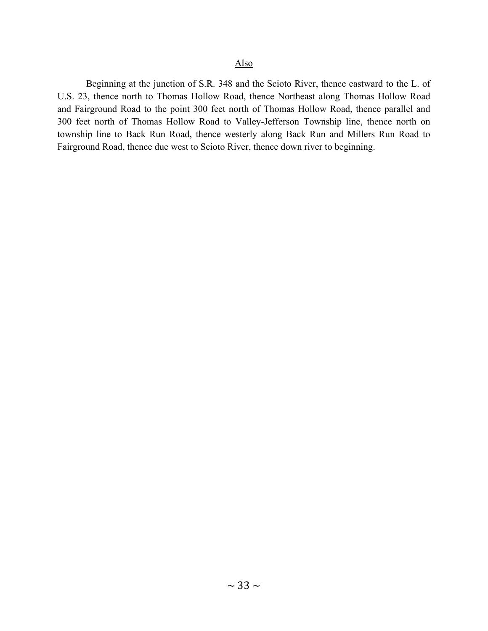# Also

 Beginning at the junction of S.R. 348 and the Scioto River, thence eastward to the L. of U.S. 23, thence north to Thomas Hollow Road, thence Northeast along Thomas Hollow Road and Fairground Road to the point 300 feet north of Thomas Hollow Road, thence parallel and 300 feet north of Thomas Hollow Road to Valley-Jefferson Township line, thence north on township line to Back Run Road, thence westerly along Back Run and Millers Run Road to Fairground Road, thence due west to Scioto River, thence down river to beginning.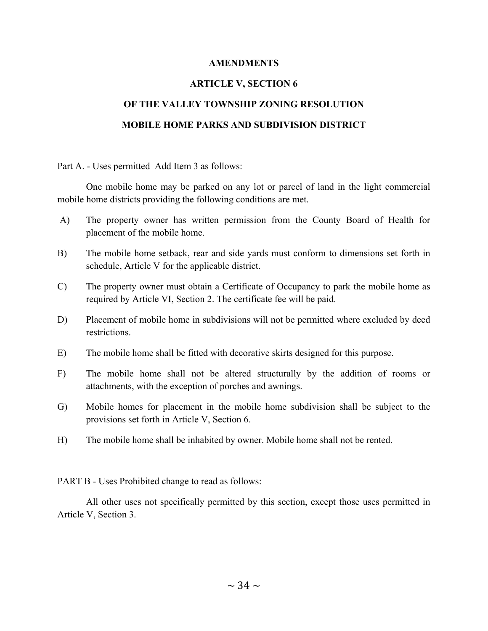## **AMENDMENTS**

## **ARTICLE V, SECTION 6**

# **OF THE VALLEY TOWNSHIP ZONING RESOLUTION MOBILE HOME PARKS AND SUBDIVISION DISTRICT**

Part A. - Uses permitted Add Item 3 as follows:

 One mobile home may be parked on any lot or parcel of land in the light commercial mobile home districts providing the following conditions are met.

- A) The property owner has written permission from the County Board of Health for placement of the mobile home.
- B) The mobile home setback, rear and side yards must conform to dimensions set forth in schedule, Article V for the applicable district.
- C) The property owner must obtain a Certificate of Occupancy to park the mobile home as required by Article VI, Section 2. The certificate fee will be paid.
- D) Placement of mobile home in subdivisions will not be permitted where excluded by deed restrictions.
- E) The mobile home shall be fitted with decorative skirts designed for this purpose.
- F) The mobile home shall not be altered structurally by the addition of rooms or attachments, with the exception of porches and awnings.
- G) Mobile homes for placement in the mobile home subdivision shall be subject to the provisions set forth in Article V, Section 6.
- H) The mobile home shall be inhabited by owner. Mobile home shall not be rented.

PART B - Uses Prohibited change to read as follows:

 All other uses not specifically permitted by this section, except those uses permitted in Article V, Section 3.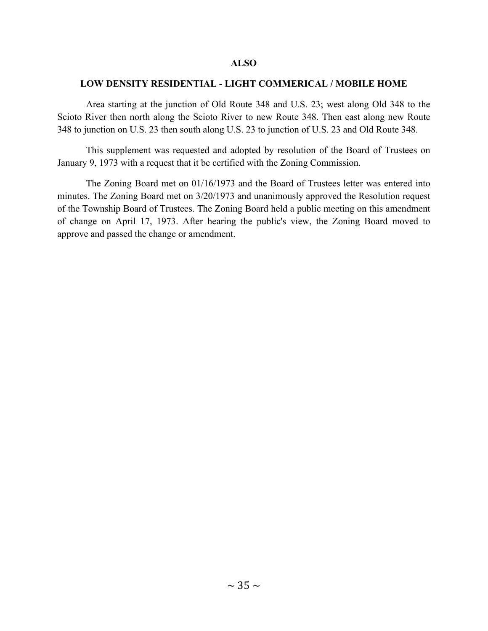## **ALSO**

## **LOW DENSITY RESIDENTIAL - LIGHT COMMERICAL / MOBILE HOME**

 Area starting at the junction of Old Route 348 and U.S. 23; west along Old 348 to the Scioto River then north along the Scioto River to new Route 348. Then east along new Route 348 to junction on U.S. 23 then south along U.S. 23 to junction of U.S. 23 and Old Route 348.

 This supplement was requested and adopted by resolution of the Board of Trustees on January 9, 1973 with a request that it be certified with the Zoning Commission.

 The Zoning Board met on 01/16/1973 and the Board of Trustees letter was entered into minutes. The Zoning Board met on 3/20/1973 and unanimously approved the Resolution request of the Township Board of Trustees. The Zoning Board held a public meeting on this amendment of change on April 17, 1973. After hearing the public's view, the Zoning Board moved to approve and passed the change or amendment.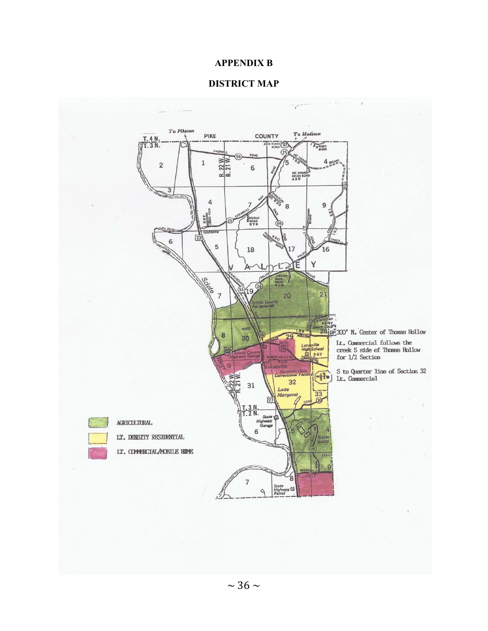## **APPENDIX B**

## **DISTRICT MAP**